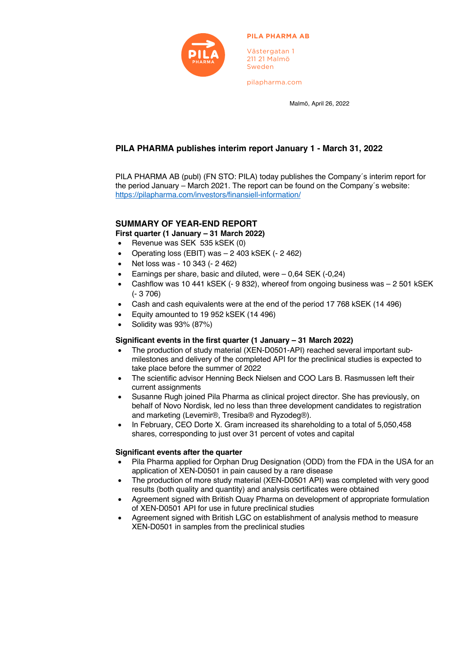

#### **PILA PHARMA AB**

Västergatan 1 211 21 Malmö Sweden

pilapharma.com

Malmö, April 26, 2022

# **PILA PHARMA publishes interim report January 1 - March 31, 2022**

PILA PHARMA AB (publ) (FN STO: PILA) today publishes the Company´s interim report for the period January – March 2021. The report can be found on the Company´s website: https://pilapharma.com/investors/finansiell-information/

## **SUMMARY OF YEAR-END REPORT**

**First quarter (1 January – 31 March 2022)**

- Revenue was SEK 535 kSEK (0)
- Operating loss (EBIT) was 2 403 kSEK (- 2 462)
- Net loss was 10 343 (- 2 462)
- Earnings per share, basic and diluted, were 0,64 SEK (-0,24)
- Cashflow was 10 441 kSEK (- 9 832), whereof from ongoing business was 2 501 kSEK (- 3 706)
- Cash and cash equivalents were at the end of the period 17 768 kSEK (14 496)
- Equity amounted to 19 952 kSEK (14 496)
- Solidity was 93% (87%)

## **Significant events in the first quarter (1 January – 31 March 2022)**

- The production of study material (XEN-D0501-API) reached several important submilestones and delivery of the completed API for the preclinical studies is expected to take place before the summer of 2022
- The scientific advisor Henning Beck Nielsen and COO Lars B. Rasmussen left their current assignments
- Susanne Rugh joined Pila Pharma as clinical project director. She has previously, on behalf of Novo Nordisk, led no less than three development candidates to registration and marketing (Levemir®, Tresiba® and Ryzodeg®).
- In February, CEO Dorte X. Gram increased its shareholding to a total of 5,050,458 shares, corresponding to just over 31 percent of votes and capital

## **Significant events after the quarter**

- Pila Pharma applied for Orphan Drug Designation (ODD) from the FDA in the USA for an application of XEN-D0501 in pain caused by a rare disease
- The production of more study material (XEN-D0501 API) was completed with very good results (both quality and quantity) and analysis certificates were obtained
- Agreement signed with British Quay Pharma on development of appropriate formulation of XEN-D0501 API for use in future preclinical studies
- Agreement signed with British LGC on establishment of analysis method to measure XEN-D0501 in samples from the preclinical studies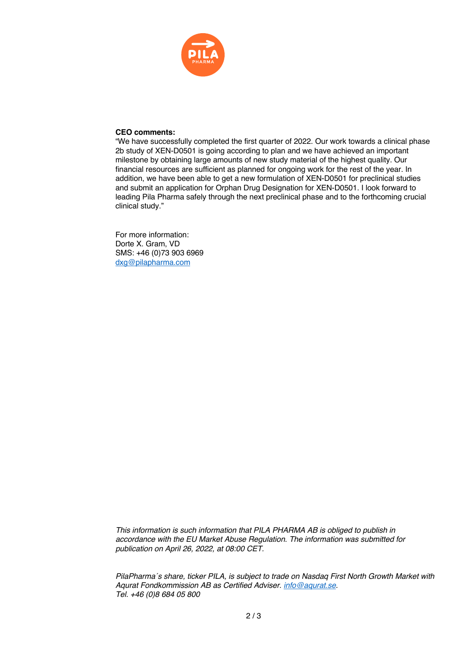

## **CEO comments:**

"We have successfully completed the first quarter of 2022. Our work towards a clinical phase 2b study of XEN-D0501 is going according to plan and we have achieved an important milestone by obtaining large amounts of new study material of the highest quality. Our financial resources are sufficient as planned for ongoing work for the rest of the year. In addition, we have been able to get a new formulation of XEN-D0501 for preclinical studies and submit an application for Orphan Drug Designation for XEN-D0501. I look forward to leading Pila Pharma safely through the next preclinical phase and to the forthcoming crucial clinical study."

For more information: Dorte X. Gram, VD SMS: +46 (0)73 903 6969 dxg@pilapharma.com

*This information is such information that PILA PHARMA AB is obliged to publish in accordance with the EU Market Abuse Regulation. The information was submitted for publication on April 26, 2022, at 08:00 CET.*

*PilaPharma´s share, ticker PILA, is subject to trade on Nasdaq First North Growth Market with Aqurat Fondkommission AB as Certified Adviser. info@aqurat.se. Tel. +46 (0)8 684 05 800*